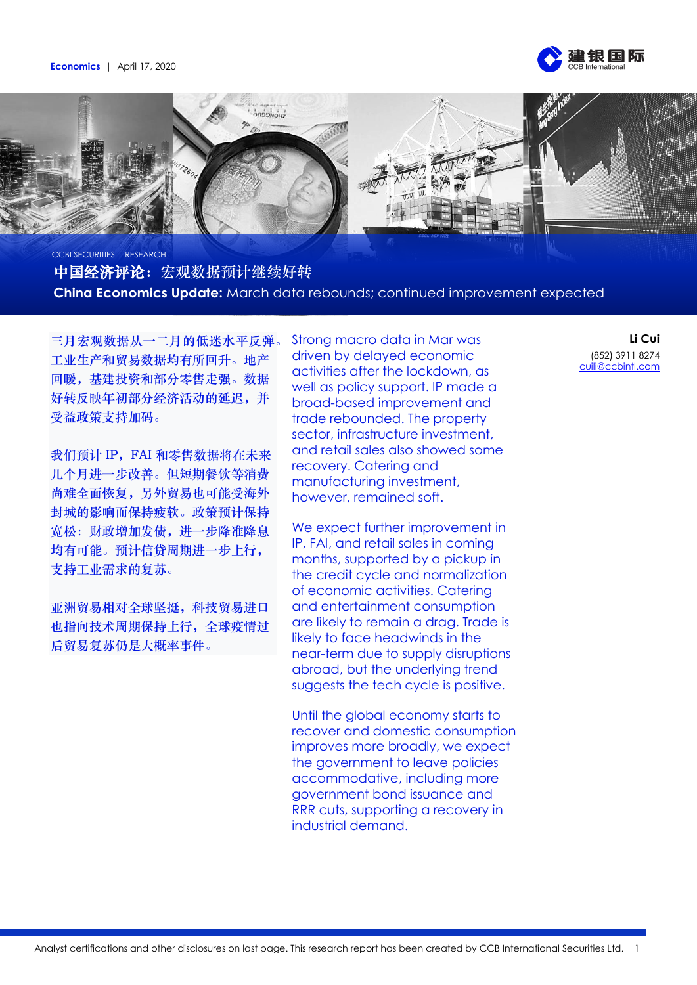



中国经济评论:宏观数据预计继续好转 **China Economics Update:** March data rebounds; continued improvement expected

三月宏观数据从一二月的低迷水平反弹。 工业生产和贸易数据均有所回升。地产 回暖,基建投资和部分零售走强。数据 好转反映年初部分经济活动的延迟,并 受益政策支持加码。

我们预计 IP, FAI 和零售数据将在未来 几个月进一步改善。但短期餐饮等消费 尚难全面恢复,另外贸易也可能受海外 封城的影响而保持疲软。政策预计保持 宽松:财政增加发债,进一步降准降息 均有可能。预计信贷周期进一步上行, 支持工业需求的复苏。

亚洲贸易相对全球坚挺,科技贸易进口 也指向技术周期保持上行,全球疫情过 后贸易复苏仍是大概率事件。

Strong macro data in Mar was driven by delayed economic activities after the lockdown, as well as policy support. IP made a broad-based improvement and trade rebounded. The property sector, infrastructure investment, and retail sales also showed some recovery. Catering and manufacturing investment, however, remained soft.

We expect further improvement in IP, FAI, and retail sales in coming months, supported by a pickup in the credit cycle and normalization of economic activities. Catering and entertainment consumption are likely to remain a drag. Trade is likely to face headwinds in the near-term due to supply disruptions abroad, but the underlying trend suggests the tech cycle is positive.

Until the global economy starts to recover and domestic consumption improves more broadly, we expect the government to leave policies accommodative, including more government bond issuance and RRR cuts, supporting a recovery in industrial demand.

**Li Cui** (852) 3911 8274 [cuili@ccbintl.com](mailto:cuili@ccbintl.com)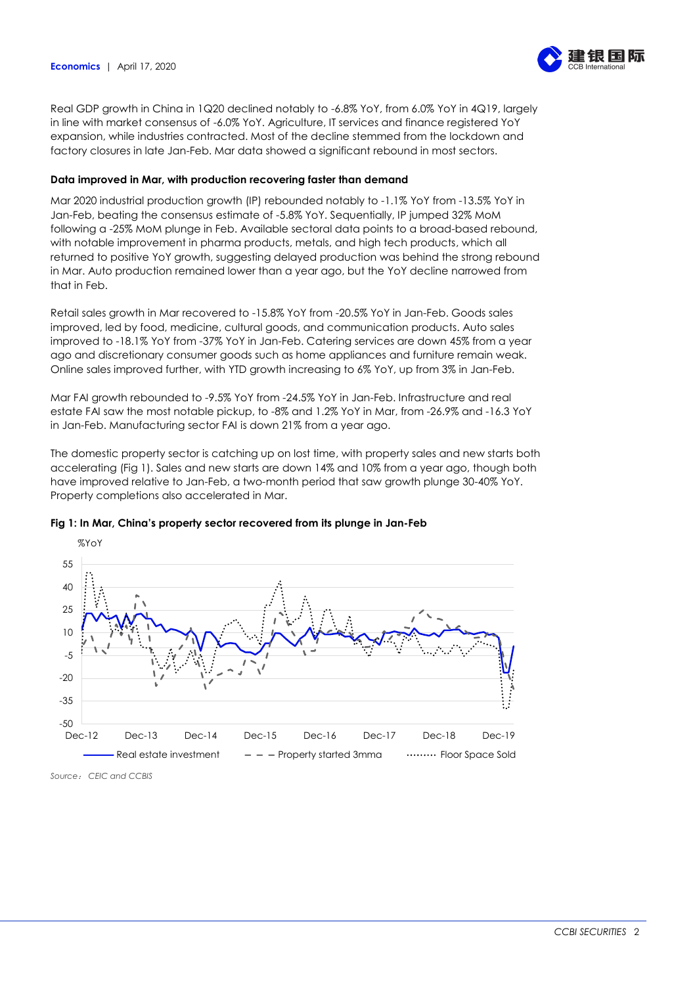

Real GDP growth in China in 1Q20 declined notably to -6.8% YoY, from 6.0% YoY in 4Q19, largely in line with market consensus of -6.0% YoY. Agriculture, IT services and finance registered YoY expansion, while industries contracted. Most of the decline stemmed from the lockdown and factory closures in late Jan-Feb. Mar data showed a significant rebound in most sectors.

# **Data improved in Mar, with production recovering faster than demand**

Mar 2020 industrial production growth (IP) rebounded notably to -1.1% YoY from -13.5% YoY in Jan-Feb, beating the consensus estimate of -5.8% YoY. Sequentially, IP jumped 32% MoM following a -25% MoM plunge in Feb. Available sectoral data points to a broad-based rebound, with notable improvement in pharma products, metals, and high tech products, which all returned to positive YoY growth, suggesting delayed production was behind the strong rebound in Mar. Auto production remained lower than a year ago, but the YoY decline narrowed from that in Feb.

Retail sales growth in Mar recovered to -15.8% YoY from -20.5% YoY in Jan-Feb. Goods sales improved, led by food, medicine, cultural goods, and communication products. Auto sales improved to -18.1% YoY from -37% YoY in Jan-Feb. Catering services are down 45% from a year ago and discretionary consumer goods such as home appliances and furniture remain weak. Online sales improved further, with YTD growth increasing to 6% YoY, up from 3% in Jan-Feb.

Mar FAI growth rebounded to -9.5% YoY from -24.5% YoY in Jan-Feb. Infrastructure and real estate FAI saw the most notable pickup, to -8% and 1.2% YoY in Mar, from -26.9% and -16.3 YoY in Jan-Feb. Manufacturing sector FAI is down 21% from a year ago.

The domestic property sector is catching up on lost time, with property sales and new starts both accelerating (Fig 1). Sales and new starts are down 14% and 10% from a year ago, though both have improved relative to Jan-Feb, a two-month period that saw growth plunge 30-40% YoY. Property completions also accelerated in Mar.



# **Fig 1: In Mar, China's property sector recovered from its plunge in Jan-Feb**

*Source*: *CEIC and CCBIS*

%YoY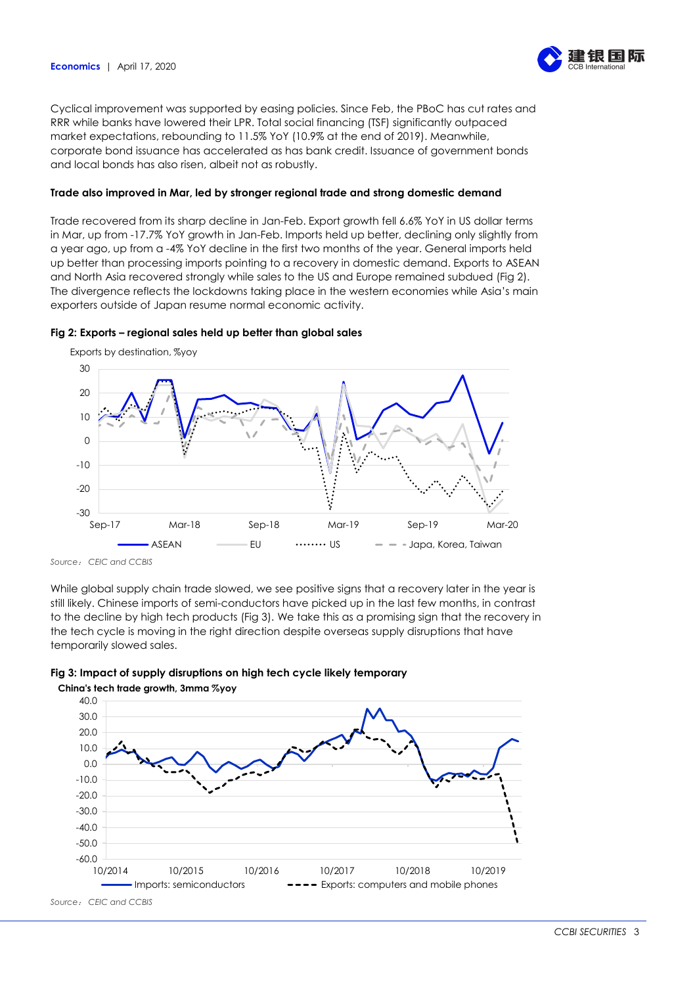

Cyclical improvement was supported by easing policies. Since Feb, the PBoC has cut rates and RRR while banks have lowered their LPR. Total social financing (TSF) significantly outpaced market expectations, rebounding to 11.5% YoY (10.9% at the end of 2019). Meanwhile, corporate bond issuance has accelerated as has bank credit. Issuance of government bonds and local bonds has also risen, albeit not as robustly.

# **Trade also improved in Mar, led by stronger regional trade and strong domestic demand**

Trade recovered from its sharp decline in Jan-Feb. Export growth fell 6.6% YoY in US dollar terms in Mar, up from -17.7% YoY growth in Jan-Feb. Imports held up better, declining only slightly from a year ago, up from a -4% YoY decline in the first two months of the year. General imports held up better than processing imports pointing to a recovery in domestic demand. Exports to ASEAN and North Asia recovered strongly while sales to the US and Europe remained subdued (Fig 2). The divergence reflects the lockdowns taking place in the western economies while Asia's main exporters outside of Japan resume normal economic activity.

### **Fig 2: Exports – regional sales held up better than global sales**



Exports by destination, %yoy

*Source*: *CEIC and CCBIS*

While global supply chain trade slowed, we see positive signs that a recovery later in the year is still likely. Chinese imports of semi-conductors have picked up in the last few months, in contrast to the decline by high tech products (Fig 3). We take this as a promising sign that the recovery in the tech cycle is moving in the right direction despite overseas supply disruptions that have temporarily slowed sales.



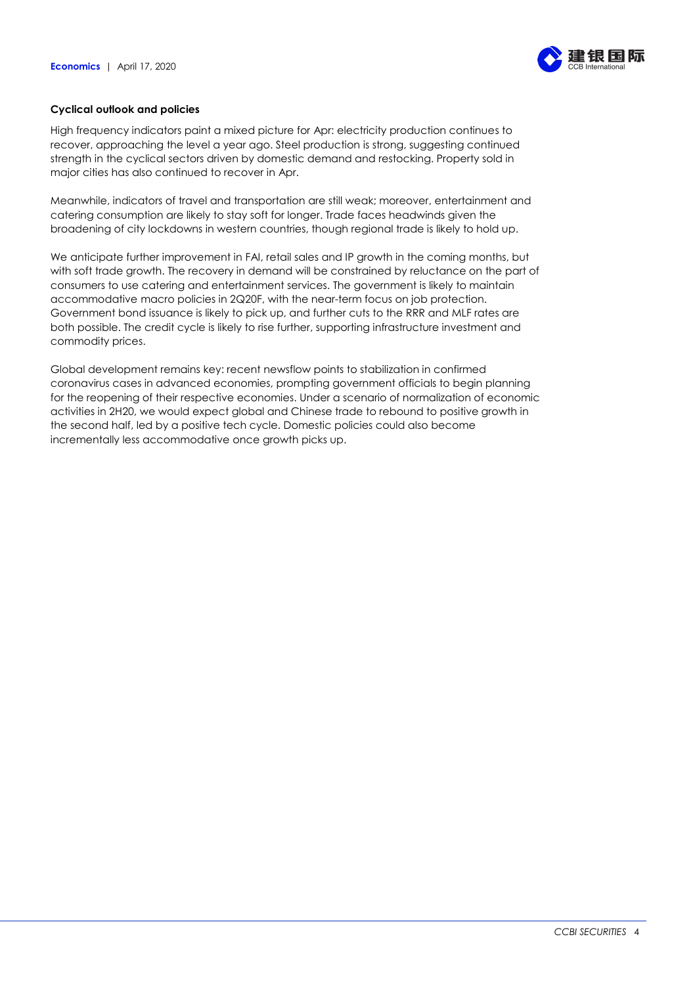

# **Cyclical outlook and policies**

High frequency indicators paint a mixed picture for Apr: electricity production continues to recover, approaching the level a year ago. Steel production is strong, suggesting continued strength in the cyclical sectors driven by domestic demand and restocking. Property sold in major cities has also continued to recover in Apr.

Meanwhile, indicators of travel and transportation are still weak; moreover, entertainment and catering consumption are likely to stay soft for longer. Trade faces headwinds given the broadening of city lockdowns in western countries, though regional trade is likely to hold up.

We anticipate further improvement in FAI, retail sales and IP growth in the coming months, but with soft trade growth. The recovery in demand will be constrained by reluctance on the part of consumers to use catering and entertainment services. The government is likely to maintain accommodative macro policies in 2Q20F, with the near-term focus on job protection. Government bond issuance is likely to pick up, and further cuts to the RRR and MLF rates are both possible. The credit cycle is likely to rise further, supporting infrastructure investment and commodity prices.

Global development remains key: recent newsflow points to stabilization in confirmed coronavirus cases in advanced economies, prompting government officials to begin planning for the reopening of their respective economies. Under a scenario of normalization of economic activities in 2H20, we would expect global and Chinese trade to rebound to positive growth in the second half, led by a positive tech cycle. Domestic policies could also become incrementally less accommodative once growth picks up.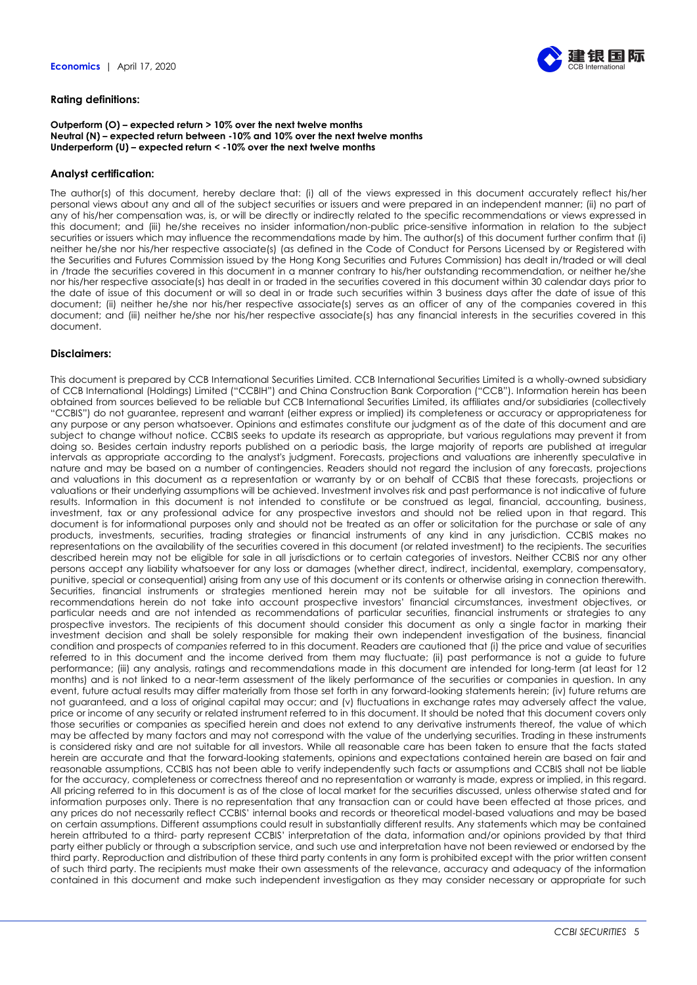

#### **Rating definitions:**

#### **Outperform (O) – expected return > 10% over the next twelve months Neutral (N) – expected return between -10% and 10% over the next twelve months Underperform (U) – expected return < -10% over the next twelve months**

#### **Analyst certification:**

The author(s) of this document, hereby declare that: (i) all of the views expressed in this document accurately reflect his/her personal views about any and all of the subject securities or issuers and were prepared in an independent manner; (ii) no part of any of his/her compensation was, is, or will be directly or indirectly related to the specific recommendations or views expressed in this document; and (iii) he/she receives no insider information/non-public price-sensitive information in relation to the subject securities or issuers which may influence the recommendations made by him. The author(s) of this document further confirm that (i) neither he/she nor his/her respective associate(s) (as defined in the Code of Conduct for Persons Licensed by or Registered with the Securities and Futures Commission issued by the Hong Kong Securities and Futures Commission) has dealt in/traded or will deal in /trade the securities covered in this document in a manner contrary to his/her outstanding recommendation, or neither he/she nor his/her respective associate(s) has dealt in or traded in the securities covered in this document within 30 calendar days prior to the date of issue of this document or will so deal in or trade such securities within 3 business days after the date of issue of this document; (ii) neither he/she nor his/her respective associate(s) serves as an officer of any of the companies covered in this document; and (iii) neither he/she nor his/her respective associate(s) has any financial interests in the securities covered in this document.

### **Disclaimers:**

This document is prepared by CCB International Securities Limited. CCB International Securities Limited is a wholly-owned subsidiary of CCB International (Holdings) Limited ("CCBIH") and China Construction Bank Corporation ("CCB"). Information herein has been obtained from sources believed to be reliable but CCB International Securities Limited, its affiliates and/or subsidiaries (collectively "CCBIS") do not guarantee, represent and warrant (either express or implied) its completeness or accuracy or appropriateness for any purpose or any person whatsoever. Opinions and estimates constitute our judgment as of the date of this document and are subject to change without notice. CCBIS seeks to update its research as appropriate, but various regulations may prevent it from doing so. Besides certain industry reports published on a periodic basis, the large majority of reports are published at irregular intervals as appropriate according to the analyst's judgment. Forecasts, projections and valuations are inherently speculative in nature and may be based on a number of contingencies. Readers should not regard the inclusion of any forecasts, projections and valuations in this document as a representation or warranty by or on behalf of CCBIS that these forecasts, projections or valuations or their underlying assumptions will be achieved. Investment involves risk and past performance is not indicative of future results. Information in this document is not intended to constitute or be construed as legal, financial, accounting, business, investment, tax or any professional advice for any prospective investors and should not be relied upon in that regard. This document is for informational purposes only and should not be treated as an offer or solicitation for the purchase or sale of any products, investments, securities, trading strategies or financial instruments of any kind in any jurisdiction. CCBIS makes no representations on the availability of the securities covered in this document (or related investment) to the recipients. The securities described herein may not be eligible for sale in all jurisdictions or to certain categories of investors. Neither CCBIS nor any other persons accept any liability whatsoever for any loss or damages (whether direct, indirect, incidental, exemplary, compensatory, punitive, special or consequential) arising from any use of this document or its contents or otherwise arising in connection therewith. Securities, financial instruments or strategies mentioned herein may not be suitable for all investors. The opinions and recommendations herein do not take into account prospective investors' financial circumstances, investment objectives, or particular needs and are not intended as recommendations of particular securities, financial instruments or strategies to any prospective investors. The recipients of this document should consider this document as only a single factor in marking their investment decision and shall be solely responsible for making their own independent investigation of the business, financial condition and prospects of *companies* referred to in this document. Readers are cautioned that (i) the price and value of securities referred to in this document and the income derived from them may fluctuate; (ii) past performance is not a guide to future performance; (iii) any analysis, ratings and recommendations made in this document are intended for long-term (at least for 12 months) and is not linked to a near-term assessment of the likely performance of the securities or companies in question. In any event, future actual results may differ materially from those set forth in any forward-looking statements herein; (iv) future returns are not guaranteed, and a loss of original capital may occur; and (v) fluctuations in exchange rates may adversely affect the value, price or income of any security or related instrument referred to in this document. It should be noted that this document covers only those securities or companies as specified herein and does not extend to any derivative instruments thereof, the value of which may be affected by many factors and may not correspond with the value of the underlying securities. Trading in these instruments is considered risky and are not suitable for all investors. While all reasonable care has been taken to ensure that the facts stated herein are accurate and that the forward-looking statements, opinions and expectations contained herein are based on fair and reasonable assumptions, CCBIS has not been able to verify independently such facts or assumptions and CCBIS shall not be liable for the accuracy, completeness or correctness thereof and no representation or warranty is made, express or implied, in this regard. All pricing referred to in this document is as of the close of local market for the securities discussed, unless otherwise stated and for information purposes only. There is no representation that any transaction can or could have been effected at those prices, and any prices do not necessarily reflect CCBIS' internal books and records or theoretical model-based valuations and may be based on certain assumptions. Different assumptions could result in substantially different results. Any statements which may be contained herein attributed to a third- party represent CCBIS' interpretation of the data, information and/or opinions provided by that third party either publicly or through a subscription service, and such use and interpretation have not been reviewed or endorsed by the third party. Reproduction and distribution of these third party contents in any form is prohibited except with the prior written consent of such third party. The recipients must make their own assessments of the relevance, accuracy and adequacy of the information contained in this document and make such independent investigation as they may consider necessary or appropriate for such